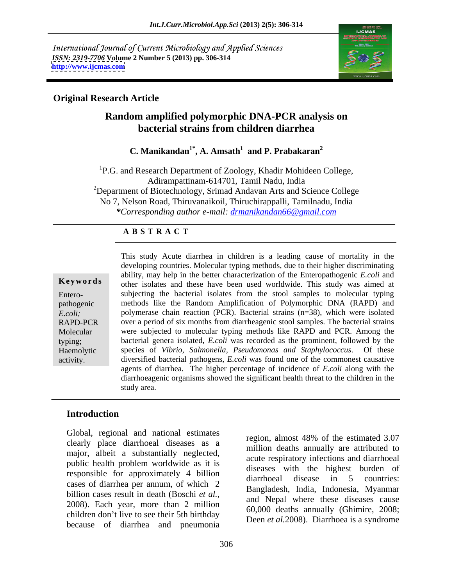International Journal of Current Microbiology and Applied Sciences *ISSN: 2319-7706* **Volume 2 Number 5 (2013) pp. 306-314 <http://www.ijcmas.com>**



## **Original Research Article**

## **Random amplified polymorphic DNA-PCR analysis on bacterial strains from children diarrhea**

**C. Manikandan1\* , A. Amsath<sup>1</sup> and P. Prabakaran<sup>2</sup>**

<sup>1</sup>P.G. and Research Department of Zoology, Khadir Mohideen College,<br>Adirampattinam-614701, Tamil Nadu, India  $2$ Department of Biotechnology, Srimad Andavan Arts and Science College No 7, Nelson Road, Thiruvanaikoil, Thiruchirappalli, Tamilnadu, India *\*Corresponding author e-mail: drmanikandan66@gmail.com*

## **A B S T R A C T**

Molecular were subjected to indicedual typing includes like KALD and TCK. Allong the typing; bacterial genera isolated, *E.coli* was recorded as the prominent, followed by the **Ke ywo rds** other isolates and these have been used worldwide. This study was aimed at Entero- subjecting the bacterial isolates from the stool samples to molecular typing pathogenic methods like the Random Amplification of Polymorphic DNA (RAPD) and *E.coli*; polymerase chain reaction (PCR). Bacterial strains (n=38), which were isolated RAPD-PCR over a period of six months from diarrheagenic stool samples. The bacterial strains Molecular were subjected to molecular typing methods like RAPD and PCR. Among the Haemolytic species of *Vibrio, Salmonella, Pseudomonas and Staphylococcus*. Of these activity. diversified bacterial pathogens, *E.coli* was found one of the commonest causative This study Acute diarrhea in children is a leading cause of mortality in the developing countries. Molecular typing methods, due to their higher discriminating ability, may help in the better characterization of the Enteropathogenic *E.coli* and agents of diarrhea. The higher percentage of incidence of *E.coli* along with the diarrhoeagenic organisms showed the significant health threat to the children in the study area.

## **Introduction**

Global, regional and national estimates<br>region, almost 48% of the estimated 3.07 clearly place diarrhoeal diseases as a major, albeit a substantially neglected, public health problem worldwide as it is responsible for approximately 4 billion diseases with the ingliest buiten of responsible for approximately 4 billion cases of diarrhea per annum, of which 2 billion cases result in death (Boschi *et al.,* 2008). Each year, more than 2 million children don't live to see their 5th birthday because of diarrhea and pneumonia

region, almost 48% of the estimated 3.07 million deaths annually are attributed to acute respiratory infections and diarrhoeal diseases with the highest burden of diarrhoeal disease in 5 countries: Bangladesh, India, Indonesia, Myanmar and Nepal where these diseases cause 60,000 deaths annually (Ghimire, 2008; Deen *et al.*2008). Diarrhoea is a syndrome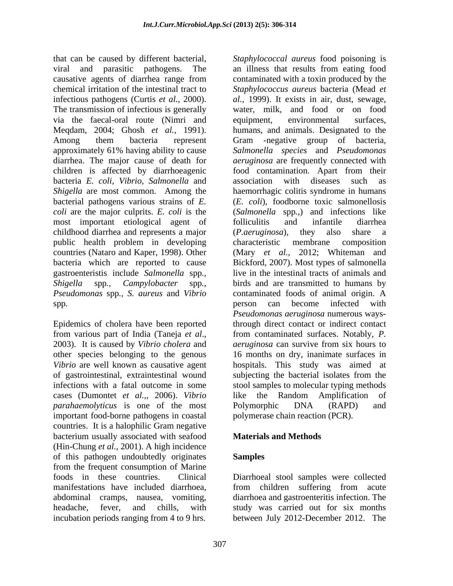that can be caused by different bacterial, *Staphylococcal aureus* food poisoning is viral and parasitic pathogens. The an illness that results from eating food causative agents of diarrhea range from chemical irritation of the intestinal tract to *Staphylococcus aureus* bacteria (Mead *et*  infectious pathogens (Curtis *et al.,* 2000). *al.,* 1999). It exists in air, dust, sewage, The transmission of infectious is generally water, milk, and food or on food via the faecal-oral route (Nimri and equipment, environmental surfaces, Megdam, 2004; Ghosh *et al.*, 1991). humans, and animals. Designated to the Meqdam, 2004; Ghosh *et al.,* 1991). humans, and animals. Designated to the Among them bacteria represent Gram -negative group of bacteria, approximately 61% having ability to cause *Salmonella species* and *Pseudomonas*  diarrhea. The major cause of death for *aeruginosa* are frequently connected with children is affected by diarrhoeagenic food contamination. Apart from their bacteria *E. coli, Vibrio, Salmonella* and *Shigella* are most common. Among the haemorrhagic colitis syndrome in humans bacterial pathogens various strains of *E.*  (*E. coli*), foodborne toxic salmonellosis *coli* are the major culprits. *E. coli* is the (*Salmonella* spp*.,*) and infections like most important etiological agent of folliculitis and infantile diarrhea childhood diarrhea and represents a major (*P. aeruginosa*), they also share a public health problem in developing countries (Nataro and Kaper, 1998). Other bacteria which are reported to cause Bickford, 2007). Most types of salmonella gastroenteristis include *Salmonella* spp*., Shigella* spp*., Campylobacter* spp*., Pseudomonas* spp*., S. aureus* and *Vibrio* spp*.* 

Epidemics of cholera have been reported *Vibrio* are well known as causative agent of gastrointestinal, extraintestinal wound cases (Dumontet *et al.,*, 2006). *Vibrio parahaemolyticus* is one of the most Polymorphic DNA (RAPD) and important food-borne pathogens in coastal countries. It is a halophilic Gram negative bacterium usually associated with seafood **Materials and Methods** (Hin-Chung *et al.,* 2001). A high incidence of this pathogen undoubtedly originates from the frequent consumption of Marine foods in these countries. Clinical Diarrhoeal stool samples were collected manifestations have included diarrhoea, abdominal cramps, nausea, vomiting, diarrhoea and gastroenteritis infection. The headache, fever, and chills, with study was carried out for six months incubation periods ranging from 4 to 9 hrs. between July 2012-December 2012. The

from various part of India (Taneja *et al*., 2003). It is caused by *Vibrio cholera* and other species belonging to the genous 16 months on dry, inanimate surfaces in of gastrointestinal, extraintestinal wound subjecting the bacterial isolates from the infections with a fatal outcome in some stool samples to molecular typing methods contaminated with a toxin produced by the equipment, environmental surfaces, food contamination. Apart from their association with diseases such as folliculitis and infantile diarrhea (*P.aeruginosa*), they also share a characteristic membrane composition (Mary *et al.,* 2012; Whiteman and live in the intestinal tracts of animals and birds and are transmitted to humans by contaminated foods of animal origin. A person can become infected with *Pseudomonas aeruginosa* numerous waysthrough direct contact or indirect contact from contaminated surfaces. Notably, *P. aeruginosa* can survive from six hours to hospitals. This study was aimed at like the Random Amplification of Polymorphic DNA (RAPD) and polymerase chain reaction (PCR).

## **Materials and Methods**

## **Samples**

from children suffering from acute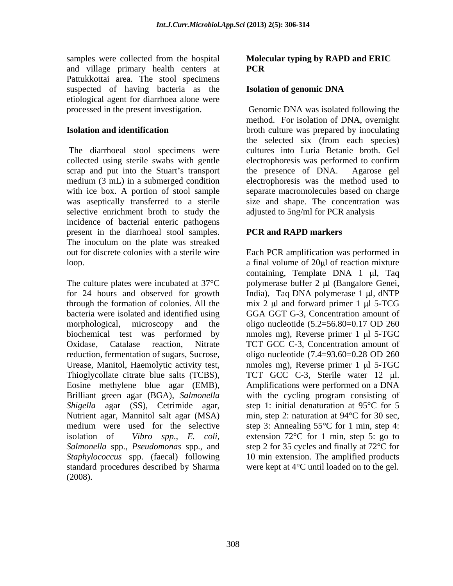samples were collected from the hospital **Molecular typing by RAPD and ERIC**  and village primary health centers at **PCR** Pattukkottai area. The stool specimens suspected of having bacteria as the **Isolation of genomic DNA** etiological agent for diarrhoea alone were

collected using sterile swabs with gentle electrophoresis was performed to confirm scrap and put into the Stuart's transport the presence of DNA. Agarose gel medium (3 mL) in a submerged condition electrophoresis was the method used to with ice box. A portion of stool sample separate macromolecules based on charge was aseptically transferred to a sterile size and shape. The concentration was selective enrichment broth to study the incidence of bacterial enteric pathogens present in the diarrhoeal stool samples. The inoculum on the plate was streaked out for discrete colonies with a sterile wire Each PCR amplification was performed in loop.  $\alpha$  final volume of 20 pl of reaction mixture

The culture plates were incubated at  $37^{\circ}$ C polymerase buffer 2 µl (Bangalore Genei, for 24 hours and observed for growth India), Taq DNA polymerase 1 µl, dNTP through the formation of colonies. All the  $\frac{m \times 2}{m \times 2}$  u and forward primer 1  $\mu$ l 5-TCG bacteria were isolated and identified using GGA GGT G-3, Concentration amount of morphological, microscopy and the oligo nucleotide (5.2=56.80=0.17 OD 260 biochemical test was performed by mmoles mg), Reverse primer 1 µl 5-TGC Oxidase, Catalase reaction, Nitrate TCT GCC C-3, Concentration amount of reduction, fermentation of sugars, Sucrose, oligo nucleotide (7.4=93.60=0.28 OD 260 Urease, Manitol, Haemolytic activity test, mmoles mg), Reverse primer 1 µl 5-TGC Thioglycollate citrate blue salts (TCBS), Eosine methylene blue agar (EMB), Amplifications were performed on a DNA Brilliant green agar (BGA), *Salmonella*  with the cycling program consisting of *Shigella* agar (SS), Cetrimide agar, Nutrient agar, Mannitol salt agar (MSA) min, step 2: naturation at 94°C for 30 sec, medium were used for the selective step 3: Annealing 55°C for 1 min, step 4: isolation of *Vibro spp*., *E. coli*, extension 72°C for 1 min, step 5: go to *Salmonella* spp., *Pseudomonas* spp., and step 2 for 35 cycles and finally at 72°C for *Staphylococcus* spp. (faecal) following 10 min extension. The amplified products standard procedures described by Sharma were kept at 4°C until loaded on to the gel. (2008).

# **PCR**

### **Isolation of genomic DNA**

processed in the present investigation. Genomic DNA was isolated following the **Isolation and identification** broth culture was prepared by inoculating The diarrhoeal stool specimens were cultures into Luria Betanie broth. Gel method. For isolation of DNA, overnight the selected six (from each species) the presence of DNA. adjusted to 5ng/ml for PCR analysis

## **PCR and RAPD markers**

containing, Template DNA  $1 \mu l$ , Taq TCT GCC C-3, Sterile water 12 µl. step 1: initial denaturation at 95°C for 5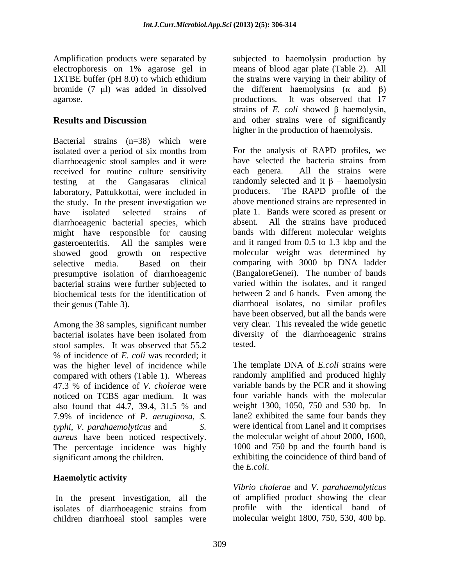Amplification products were separated by

Bacterial strains (n=38) which were isolated over a period of six months from For the analysis of RAPD profiles, we diarrhoeagenic stool samples and it were have selected the bacteria strains from diarrhoeagenic stool samples and it were have selected the bacteria strains from received for routine culture sensitivity each genera. All the strains were received for routine culture sensitivity each genera. testing at the Gangasaras clinical randomly-selected- and it  $\beta$  – haemolysin laboratory, Pattukkottai, were included in producers. The RAPD profile of the laboratory, Pattukkottai, were included in the study. In the present investigation we have isolated selected strains of plate 1. Bands were scored as present or diarrhoeagenic bacterial species, which might have responsible for causing gasteroenteritis. All the samples were and it ranged from 0.5 to 1.3 kbp and the showed good growth on respective molecular weight was determined by selective media. Based on their comparing with 3000 bp DNA ladder presumptive isolation of diarrhoeagenic bacterial strains were further subjected to biochemical tests for the identification of between 2 and 6 bands. Even among the their genus (Table 3). diarrhoeal isolates, no similar profiles

Among the 38 samples, significant number stool samples. It was observed that 55.2 % of incidence of *E. coli* was recorded; it was the higher level of incidence while compared with others (Table 1). Whereas 47.3 % of incidence of *V. cholerae* were noticed on TCBS agar medium. It was also found that 44.7, 39.4, 31.5 % and 7.9% of incidence of *P. aeruginosa, S. typhi, V. parahaemolyticus* and *S.*  were identical from Lanel and it comprises *aureus* have been noticed respectively. The percentage incidence was highly significant among the children. exhibiting the coincidence of third band of

## **Haemolytic activity**

In the present investigation, all the isolates of diarrhoeagenic strains from children diarrhoeal stool samples were

electrophoresis on 1% agarose gel in means of blood agar plate (Table 2). All 1XTBE buffer (pH 8.0) to which ethidium the strains were varying in their ability of bromide (7  $\mu$ I) was added in dissolved the different haemolysins ( $\alpha$  and  $\beta$ ) agarose. productions. It was observed that 17 **Results and Discussion** and other strains were of significantly subjected to haemolysin production by strains of *E. coli* showed  $\beta$  haemolysin, higher in the production of haemolysis.

bacterial isolates have been isolated from For the analysis of RAPD profiles, we have selected the bacteria strains from each genera. All the strains were randomly selected and it  $\beta$  – haemolysin producers. The RAPD profile of the above mentioned strains are represented in All the strains have produced bands with different molecular weights (BangaloreGenei). The number of bands varied within the isolates, and it ranged have been observed, but all the bands were very clear. This revealed the wide genetic diversity of the diarrhoeagenic strains tested.

> The template DNA of *E.coli* strains were randomly amplified and produced highly variable bands by the PCR and it showing four variable bands with the molecular weight 1300, 1050, 750 and 530 bp. In lane2 exhibited the same four bands they the molecular weight of about 2000, 1600, 1000 and 750 bp and the fourth band is the *E.coli*.

*Vibrio cholerae* and *V. parahaemolyticus* of amplified product showing the clear profile with the identical band of molecular weight 1800, 750, 530, 400 bp.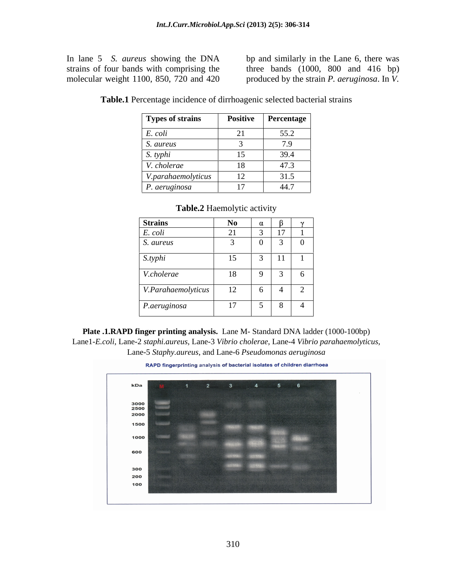In lane 5 *S. aureus* showing the DNA bp and similarly in the Lane 6, there was strains of four bands with comprising the three bands (1000, 800 and 416 bp) molecular weight 1100, 850, 720 and 420 produced by the strain *P. aeruginosa*. In *V*.

| <b>Types of strains</b> | <b>Positive</b>          | <b>Percentage</b> |
|-------------------------|--------------------------|-------------------|
| E. coli                 | --                       | 55.2              |
| S. aureus               |                          | 70<br>$\cdot$     |
| S. typhi                | $\overline{\phantom{a}}$ | 39.4              |
| V. cholerae             | 18<br>10                 | 47.3              |
| V.parahaemolyticus      | 12                       | 31.5              |
| P. aeruginosa           |                          | 44.7              |

**Table.1** Percentage incidence of dirrhoagenic selected bacterial strains

| <b>Strains</b>     | <b>No</b> |   |                          |          |
|--------------------|-----------|---|--------------------------|----------|
| E. coli            | 21        |   | $\overline{1}$           |          |
| S. aureus          |           |   | $\overline{\phantom{0}}$ | $\bf{0}$ |
| S.typhi            | 15        | ◡ | $\mathbf{1}$             |          |
| V.cholerae         | 18        |   |                          | . რ      |
| V.Parahaemolyticus | 12        |   |                          | —        |
| P.aeruginosa       | $\perp$   |   | 8                        | -4       |

**Table.2** Haemolytic activity

**Plate .1.RAPD finger printing analysis.** Lane M- Standard DNA ladder (1000-100bp) Lane1-*E.coli*, Lane-2 *staphi.aureus,* Lane-3 *Vibrio cholerae*, Lane-4 *Vibrio parahaemolyticus,* Lane-5 *Staphy.aureus*, and Lane-6 *Pseudomonas aeruginosa*

RAPD fingerprinting analysis of bacterial isolates of children diarrhoea

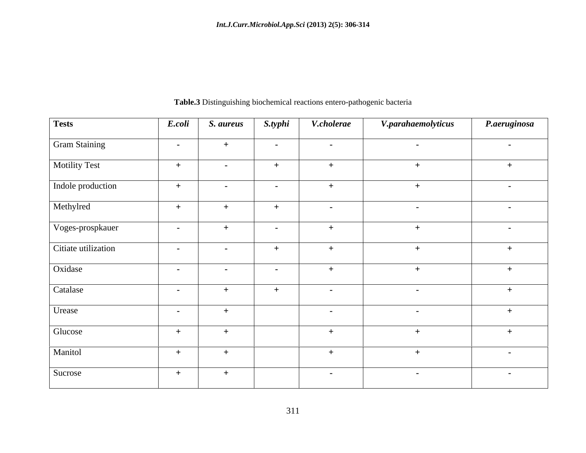| <b>Tests</b>        | E.coli               | S. aureus        | S.typhi           | V.cholerae        | V.parahaemolyticus | P.aeruginosa     |
|---------------------|----------------------|------------------|-------------------|-------------------|--------------------|------------------|
| Gram Staining       | $\sim 100$ m $^{-1}$ | $+$              | $\sim$ 100 $\sim$ | $\sim$ $\sim$     | $\sim$ $-$         | $\sim 100$       |
| Motility Test       | $+$                  | $\sim$ 100 $\mu$ | $+$               | $+$               | $+$                | $+$              |
| Indole production   | $+$                  | $\sim$           | $\sim$ $-$        | $+$               | $+$                | $\sim 10^{-10}$  |
| Methylred           | $+$                  |                  | $+$               | $\sim$ 100 $\sim$ | $\sim$ $-$         | $\sim 10^{-10}$  |
| Voges-prospkauer    | $\sim 100$           |                  | $\sim$            | $+$               | $+$                | $\sim$ 100 $\mu$ |
| Citiate utilization | $\sim 100$           | $\sim 10^{-10}$  | $+$               | $+$               | $+$                | $+$              |
| Oxidase             | $\sim$ $-$           | $\sim$           | $\sim$ $-$        | $+$               | $+$                | $+$              |
| Catalase            | $\sim$ $-$           | $+$              | $+$               | $\sim$ $-$        | $\sim$             | $+$              |
| Urease              | $\sim 100$           | $+$              |                   | $\sim$ $ \sim$    | $\sim$ $-$         | $+$              |
| Glucose             | $+$                  | $+$              |                   | $+$               | $+$                | $+$              |
| Manitol             | $+$                  | $+$              |                   | $+$               | $+$                | $\sim$ $-$       |
| Sucrose             | $+$                  | $+$              |                   | $\sim 100$        | $\sim$ $-$         | $\sim 100$       |

**Table.3** Distinguishing biochemical reactions entero-pathogenic bacteria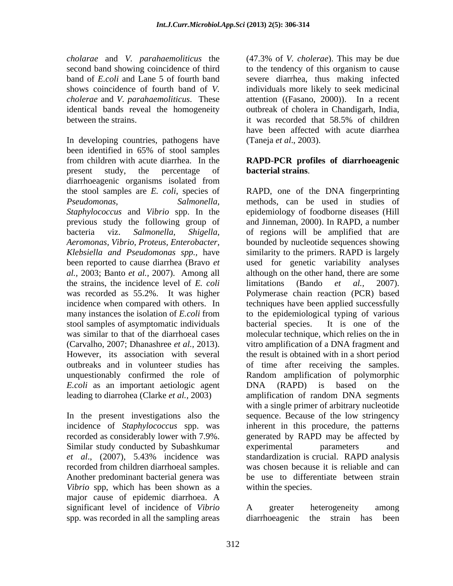*cholarae* and *V. parahaemoliticus* the identical bands reveal the homogeneity between the strains. it was recorded that 58.5% of children

In developing countries, pathogens have been identified in 65% of stool samples from children with acute diarrhea. In the **RAPD-PCR profiles of diarrhoeagenic** present study, the percentage of **bacterial strains**. diarrhoeagenic organisms isolated from the strains, the incidence level of *E. coli* stool samples of asymptomatic individuals bacterial species. It is one of the *E.coli* as an important aetiologic agent DNA (RAPD) is based on the leading to diarrohea (Clarke *et al.,* 2003)

In the present investigations also the Similar study conducted by Subashkumar experimental parameters and recorded from children diarrhoeal samples. Another predominant bacterial genera was *Vibrio* spp, which has been shown as a major cause of epidemic diarrhoea. A significant level of incidence of *Vibrio* A greater heterogeneity among spp. was recorded in all the sampling areas diarrhoeagenic the strain has been

second band showing coincidence of third to the tendency of this organism to cause band of *E.coli* and Lane 5 of fourth band severe diarrhea, thus making infected shows coincidence of fourth band of *V.*  individuals more likely to seek medicinal *cholerae* and *V. parahaemoliticus*. These attention ((Fasano, 2000)). In a recent (47.3% of *V. cholerae*). This may be due outbreak of cholera in Chandigarh, India, it was recorded that 58.5% of children have been affected with acute diarrhea (Taneja *et al*., 2003).

# **bacterial strains**.

the stool samples are *E. coli*, species of RAPD, one of the DNA fingerprinting *Pseudomonas, Salmonella,* methods, can be used in studies of *Staphylococcus* and *Vibrio* spp. In the epidemiology of foodborne diseases (Hill previous study the following group of and Jinneman, 2000). In RAPD, a number bacteria viz. *Salmonella, Shigella,* of regions will be amplified that are *Aeromonas, Vibrio, Proteus, Enterobacter,*  bounded by nucleotide sequences showing *Klebsiella and Pseudomonas spp.,* have similarity to the primers. RAPD is largely been reported to cause diarrhea (Bravo *et*  used for genetic variability analyses *al.,* 2003; Banto *et al.,* 2007). Among all although on the other hand, there are some was recorded as 55.2%. It was higher Polymerase chain reaction (PCR) based incidence when compared with others. In techniques have been applied successfully many instances the isolation of *E.coli* from to the epidemiological typing of various was similar to that of the diarrhoeal cases molecular technique, which relies on the in (Carvalho, 2007; Dhanashree *et al.,* 2013). vitro amplification of a DNA fragment and However, its association with several the result is obtained with in a short period outbreaks and in volunteer studies has of time after receiving the samples. unquestionably confirmed the role of Random amplification of polymorphic incidence of *Staphylococcus* spp. was inherent in this procedure, the patterns recorded as considerably lower with 7.9%. generated by RAPD may be affected by *et al*., (2007), 5.43% incidence was limitations (Bando *et al.,* 2007). bacterial species. It is one of the DNA (RAPD) is based on the amplification of random DNA segments with a single primer of arbitrary nucleotide sequence. Because of the low stringency experimental parameters and standardization is crucial. RAPD analysis was chosen because it is reliable and can be use to differentiate between strain within the species.

> A greater heterogeneity among diarrhoeagenic the strain has been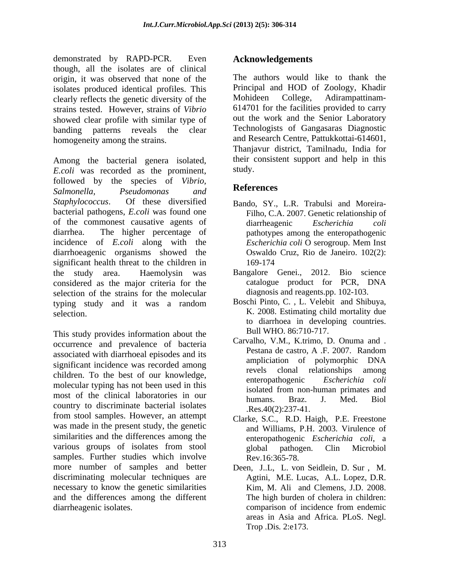demonstrated by RAPD-PCR. Even though, all the isolates are of clinical origin, it was observed that none of the isolates produced identical profiles. This experiment Principal and HOD of Zoology, Khadir clearly reflects the genetic diversity of the Mohideen College, Adirampattinamclearly reflects the genetic diversity of the strains tested. However, strains of *Vibrio*  showed clear profile with similar type of banding patterns reveals the clear homogeneity among the strains.

Among the bacterial genera isolated, their c<br>Ecoli was recorded as the prominent study. *E.coli* was recorded as the prominent, followed by the species of *Vibrio*,<br> **References** *Salmonella, Pseudomonas and Staphylococcus*. Of these diversified Bando, SY., L.R. Trabulsi and Moreira bacterial pathogens, *E.coli* was found one of the commonest causative agents of diarrheagenic Escherichia coli diarrhea. The higher percentage of pathotypes among the enteropathogenic incidence of *E.coli* along with the *Escherichia coli* O serogroup. Mem Inst diarrhoeagenic organisms showed the significant health threat to the children in 169-174 the study area. Haemolysin was Bangalore Genei., 2012. Bio science considered as the major criteria for the selection of the strains for the molecular typing study and it was a random Boschi-Pinto, C., L. Velebit and Shibuya, selection. K. 2008. Estimating child mortality due

This study provides information about the occurrence and prevalence of bacteria<br> **Carvalho, V.M., K.trimo, D. Onuma and .**<br>
Pestana de castro, A.F. 2007. Random associated with diarrhoeal episodes and its<br>associated with diarrhoeal episodes and its<br>ampliciation of polymorphic DNA significant incidence was recorded among amplication of polymorphic DNA children. To the best of our knowledge,<br>enteropathogenic Escherichia coli molecular typing has not been used in this isolated from non-human primates and most of the clinical laboratories in our<br>humans. Braz. J. Med. Biol country to discriminate bacterial isolates from stool samples. However, an attempt was made in the present study, the genetic similarities and the differences among the various groups of isolates from stool subsetional pathogen. Clin Microbiol samples. Further studies which involve more number of samples and better Deen, J..L, L. von Seidlein, D. Sur , M. discriminating molecular techniques are necessary to know the genetic similarities and the differences among the different diarrheagenic isolates. comparison of incidence from endemic

## **Acknowledgements**

The authors would like to thank the Principal and HOD of Zoology, Khadir Mohideen College, Adirampattinam- 614701 for the facilities provided to carry out the work and the Senior Laboratory Technologists of Gangasaras Diagnostic and Research Centre, Pattukkottai-614601, Thanjavur district, Tamilnadu, India for their consistent support and help in this study.

## **References**

- Filho, C.A. 2007. Genetic relationship of diarrheagenic *Escherichia coli Escherichia coli* O serogroup. Mem Inst Oswaldo Cruz, Rio de Janeiro. 102(2): 169-174
- catalogue product for PCR, DNA diagnosis and reagents.pp. 102-103.
- Boschi Pinto, C. , L. Velebit and Shibuya, to diarrhoea in developing countries. Bull WHO*.* 86:710-717.
- Carvalho, V.M., K.trimo, D. Onuma and . Pestana de castro, A .F. 2007. Random ampliciation of polymorphic DNA revels clonal relationships among enteropathogenic *Escherichia coli* isolated from non-human primates and humans. Braz. J. Med. Biol .Res.40(2):237-41.
- Clarke, S.C., R.D. Haigh, P.E. Freestone and Williams, P.H. 2003. Virulence of enteropathogenic *Escherichia coli*, a global pathogen. Clin Microbiol Rev.16:365-78.
- Agtini, M.E. Lucas, A.L. Lopez, D.R. Kim, M. Ali and Clemens, J.D. 2008. The high burden of cholera in children: comparison of incidence from endemic areas in Asia and Africa. PLoS. Negl. Trop .Dis*.* 2:e173.